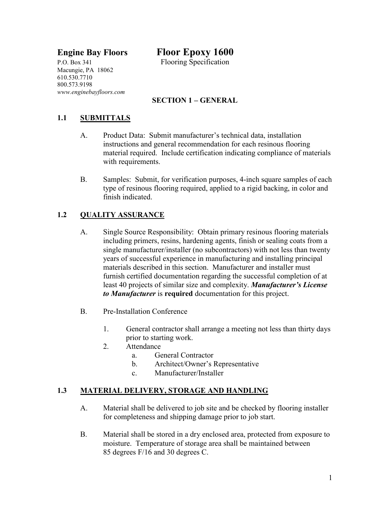# **Engine Bay Floors Floor Epoxy 1600**

P.O. Box 341 Flooring Specification Macungie, PA 18062 610.530.7710 800.573.9198 *www.enginebayfloors.com*

## **SECTION 1 – GENERAL**

## **1.1 SUBMITTALS**

- A. Product Data: Submit manufacturer's technical data, installation instructions and general recommendation for each resinous flooring material required. Include certification indicating compliance of materials with requirements.
- B. Samples: Submit, for verification purposes, 4-inch square samples of each type of resinous flooring required, applied to a rigid backing, in color and finish indicated.

#### **1.2 QUALITY ASSURANCE**

- A. Single Source Responsibility: Obtain primary resinous flooring materials including primers, resins, hardening agents, finish or sealing coats from a single manufacturer/installer (no subcontractors) with not less than twenty years of successful experience in manufacturing and installing principal materials described in this section. Manufacturer and installer must furnish certified documentation regarding the successful completion of at least 40 projects of similar size and complexity. *Manufacturer's License to Manufacturer* is **required** documentation for this project.
- B. Pre-Installation Conference
	- 1. General contractor shall arrange a meeting not less than thirty days prior to starting work.
	- 2. Attendance
		- a. General Contractor
		- b. Architect/Owner's Representative
		- c. Manufacturer/Installer

#### **1.3 MATERIAL DELIVERY, STORAGE AND HANDLING**

- A. Material shall be delivered to job site and be checked by flooring installer for completeness and shipping damage prior to job start.
- B. Material shall be stored in a dry enclosed area, protected from exposure to moisture. Temperature of storage area shall be maintained between 85 degrees F/16 and 30 degrees C.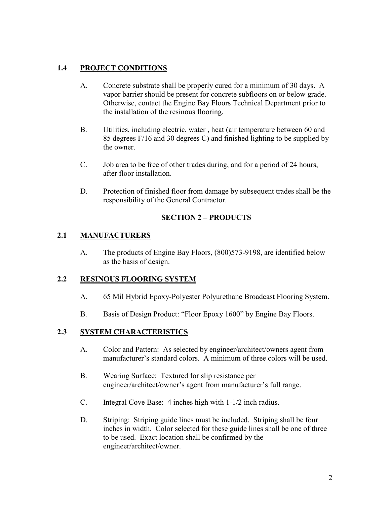### **1.4 PROJECT CONDITIONS**

- A. Concrete substrate shall be properly cured for a minimum of 30 days. A vapor barrier should be present for concrete subfloors on or below grade. Otherwise, contact the Engine Bay Floors Technical Department prior to the installation of the resinous flooring.
- B. Utilities, including electric, water , heat (air temperature between 60 and 85 degrees F/16 and 30 degrees C) and finished lighting to be supplied by the owner.
- C. Job area to be free of other trades during, and for a period of 24 hours, after floor installation.
- D. Protection of finished floor from damage by subsequent trades shall be the responsibility of the General Contractor.

#### **SECTION 2 – PRODUCTS**

#### **2.1 MANUFACTURERS**

A. The products of Engine Bay Floors, (800)573-9198, are identified below as the basis of design.

#### **2.2 RESINOUS FLOORING SYSTEM**

- A. 65 Mil Hybrid Epoxy-Polyester Polyurethane Broadcast Flooring System.
- B. Basis of Design Product: "Floor Epoxy 1600" by Engine Bay Floors.

### **2.3 SYSTEM CHARACTERISTICS**

- A. Color and Pattern: As selected by engineer/architect/owners agent from manufacturer's standard colors. A minimum of three colors will be used.
- B. Wearing Surface: Textured for slip resistance per engineer/architect/owner's agent from manufacturer's full range.
- C. Integral Cove Base: 4 inches high with 1-1/2 inch radius.
- D. Striping: Striping guide lines must be included. Striping shall be four inches in width. Color selected for these guide lines shall be one of three to be used. Exact location shall be confirmed by the engineer/architect/owner.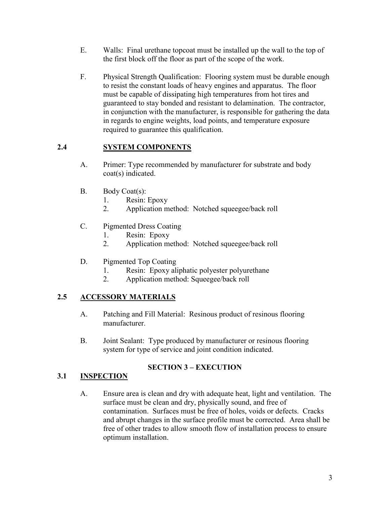- E. Walls: Final urethane topcoat must be installed up the wall to the top of the first block off the floor as part of the scope of the work.
- F. Physical Strength Qualification: Flooring system must be durable enough to resist the constant loads of heavy engines and apparatus. The floor must be capable of dissipating high temperatures from hot tires and guaranteed to stay bonded and resistant to delamination. The contractor, in conjunction with the manufacturer, is responsible for gathering the data in regards to engine weights, load points, and temperature exposure required to guarantee this qualification.

### **2.4 SYSTEM COMPONENTS**

- A. Primer: Type recommended by manufacturer for substrate and body coat(s) indicated.
- B. Body Coat(s):
	- 1. Resin: Epoxy
	- 2. Application method: Notched squeegee/back roll
- C. Pigmented Dress Coating
	- 1. Resin: Epoxy
	- 2. Application method: Notched squeegee/back roll
- D. Pigmented Top Coating
	- 1. Resin: Epoxy aliphatic polyester polyurethane
	- 2. Application method: Squeegee/back roll

### **2.5 ACCESSORY MATERIALS**

- A. Patching and Fill Material: Resinous product of resinous flooring manufacturer.
- B. Joint Sealant: Type produced by manufacturer or resinous flooring system for type of service and joint condition indicated.

### **SECTION 3 – EXECUTION**

#### **3.1 INSPECTION**

A. Ensure area is clean and dry with adequate heat, light and ventilation. The surface must be clean and dry, physically sound, and free of contamination. Surfaces must be free of holes, voids or defects. Cracks and abrupt changes in the surface profile must be corrected. Area shall be free of other trades to allow smooth flow of installation process to ensure optimum installation.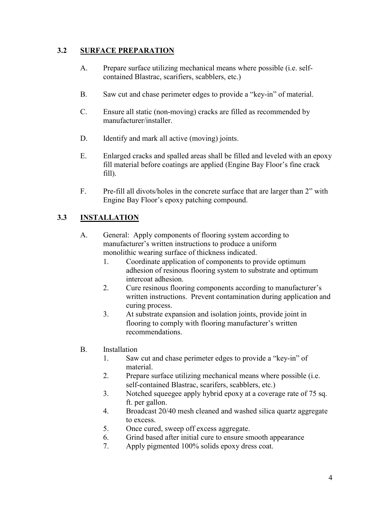#### **3.2 SURFACE PREPARATION**

- A. Prepare surface utilizing mechanical means where possible (i.e. selfcontained Blastrac, scarifiers, scabblers, etc.)
- B. Saw cut and chase perimeter edges to provide a "key-in" of material.
- C. Ensure all static (non-moving) cracks are filled as recommended by manufacturer/installer.
- D. Identify and mark all active (moving) joints.
- E. Enlarged cracks and spalled areas shall be filled and leveled with an epoxy fill material before coatings are applied (Engine Bay Floor's fine crack fill).
- F. Pre-fill all divots/holes in the concrete surface that are larger than 2" with Engine Bay Floor's epoxy patching compound.

#### **3.3 INSTALLATION**

- A. General: Apply components of flooring system according to manufacturer's written instructions to produce a uniform monolithic wearing surface of thickness indicated.
	- 1. Coordinate application of components to provide optimum adhesion of resinous flooring system to substrate and optimum intercoat adhesion.
	- 2. Cure resinous flooring components according to manufacturer's written instructions. Prevent contamination during application and curing process.
	- 3. At substrate expansion and isolation joints, provide joint in flooring to comply with flooring manufacturer's written recommendations.
- B. Installation
	- 1. Saw cut and chase perimeter edges to provide a "key-in" of material.
	- 2. Prepare surface utilizing mechanical means where possible (i.e. self-contained Blastrac, scarifers, scabblers, etc.)
	- 3. Notched squeegee apply hybrid epoxy at a coverage rate of 75 sq. ft. per gallon.
	- 4. Broadcast 20/40 mesh cleaned and washed silica quartz aggregate to excess.
	- 5. Once cured, sweep off excess aggregate.
	- 6. Grind based after initial cure to ensure smooth appearance
	- 7. Apply pigmented 100% solids epoxy dress coat.